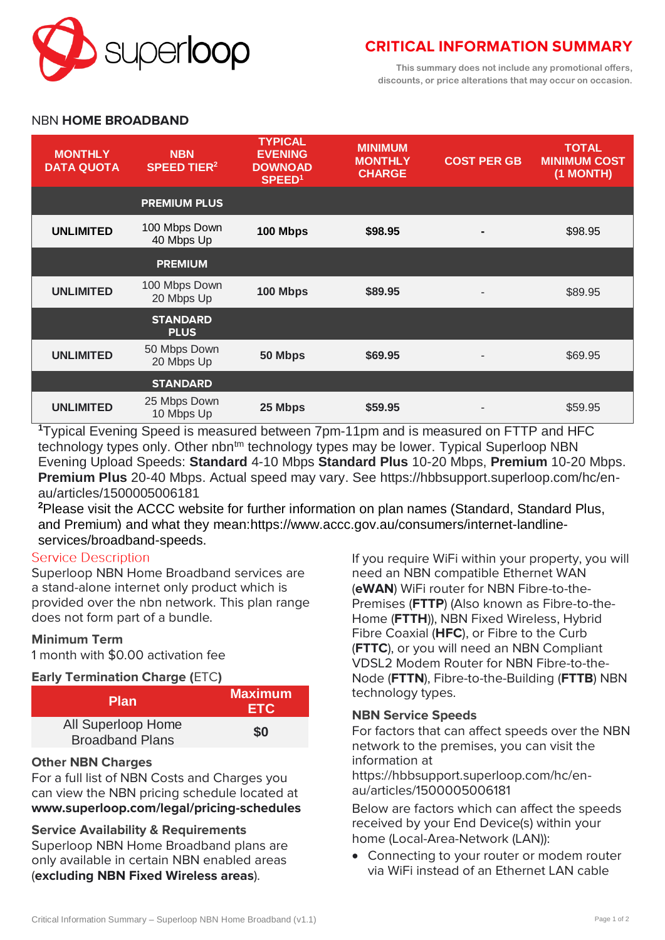

# **CRITICAL INFORMATION SUMMARY**

**This summary does not include any promotional offers, discounts, or price alterations that may occur on occasion.**

## NBN **HOME BROADBAND**

| <b>MONTHLY</b><br><b>DATA QUOTA</b> | <b>NBN</b><br><b>SPEED TIER<sup>2</sup></b> | <b>TYPICAL</b><br><b>EVENING</b><br><b>DOWNOAD</b><br>SPEED <sup>1</sup> | <b>MINIMUM</b><br><b>MONTHLY</b><br><b>CHARGE</b> | <b>COST PER GB</b> | <b>TOTAL</b><br><b>MINIMUM COST</b><br>(1 MONTH) |
|-------------------------------------|---------------------------------------------|--------------------------------------------------------------------------|---------------------------------------------------|--------------------|--------------------------------------------------|
|                                     | <b>PREMIUM PLUS</b>                         |                                                                          |                                                   |                    |                                                  |
| <b>UNLIMITED</b>                    | 100 Mbps Down<br>40 Mbps Up                 | 100 Mbps                                                                 | \$98.95                                           |                    | \$98.95                                          |
|                                     | <b>PREMIUM</b>                              |                                                                          |                                                   |                    |                                                  |
| <b>UNLIMITED</b>                    | 100 Mbps Down<br>20 Mbps Up                 | 100 Mbps                                                                 | \$89.95                                           |                    | \$89.95                                          |
|                                     | <b>STANDARD</b><br><b>PLUS</b>              |                                                                          |                                                   |                    |                                                  |
| <b>UNLIMITED</b>                    | 50 Mbps Down<br>20 Mbps Up                  | 50 Mbps                                                                  | \$69.95                                           |                    | \$69.95                                          |
|                                     | <b>STANDARD</b>                             |                                                                          |                                                   |                    |                                                  |
| <b>UNLIMITED</b>                    | 25 Mbps Down<br>10 Mbps Up                  | 25 Mbps                                                                  | \$59.95                                           |                    | \$59.95                                          |

**<sup>1</sup>**Typical Evening Speed is measured between 7pm-11pm and is measured on FTTP and HFC technology types only. Other nbn<sup>tm</sup> technology types may be lower. Typical Superloop NBN Evening Upload Speeds: **Standard** 4-10 Mbps **Standard Plus** 10-20 Mbps, **Premium** 10-20 Mbps. **Premium Plus** 20-40 Mbps. Actual speed may vary. See https://hbbsupport.superloop.com/hc/enau/articles/1500005006181

**<sup>2</sup>**Please visit the ACCC website for further information on plan names (Standard, Standard Plus, and Premium) and what they mean:https://www.accc.gov.au/consumers/internet-landlineservices/broadband-speeds.

## **Service Description**

Superloop NBN Home Broadband services are a stand-alone internet only product which is provided over the nbn network. This plan range does not form part of a bundle.

## **Minimum Term**

1 month with \$0.00 activation fee

## **Early Termination Charge (**ETC**)**

| <b>Plan</b>                                  | <b>Maximum</b><br><b>ETC</b> |
|----------------------------------------------|------------------------------|
| All Superloop Home<br><b>Broadband Plans</b> | \$0                          |

## **Other NBN Charges**

For a full list of NBN Costs and Charges you can view the NBN pricing schedule located at **[www.superloop.com/legal/pricing-schedules](https://www.superloop.com/legal/pricing-schedules.html)**

## **Service Availability & Requirements**

Superloop NBN Home Broadband plans are only available in certain NBN enabled areas (*excluding NBN Fixed Wireless areas*).

If you require WiFi within your property, you will need an NBN compatible Ethernet WAN (**eWAN**) WiFi router for NBN Fibre-to-the-Premises (**FTTP**) (Also known as Fibre-to-the-Home (**FTTH**)), NBN Fixed Wireless, Hybrid Fibre Coaxial (**HFC**), or Fibre to the Curb (**FTTC**), or you will need an NBN Compliant VDSL2 Modem Router for NBN Fibre-to-the-Node (**FTTN**), Fibre-to-the-Building (**FTTB**) NBN technology types.

## **NBN Service Speeds**

For factors that can affect speeds over the NBN network to the premises, you can visit the information at

https://hbbsupport.superloop.com/hc/enau/articles/1500005006181

Below are factors which can affect the speeds received by your End Device(s) within your home (Local-Area-Network (LAN)):

 Connecting to your router or modem router via WiFi instead of an Ethernet LAN cable